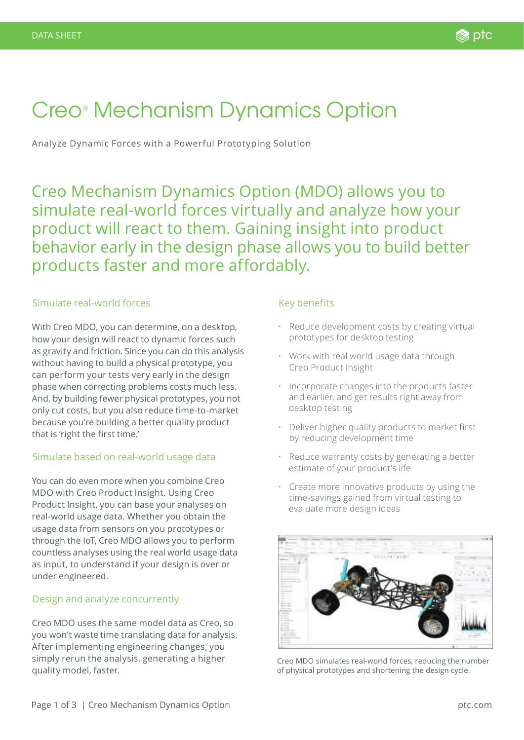# Creo® Mechanism Dynamics Option

Analyze Dynamic Forces with a Powerful Prototyping Solution

Creo Mechanism Dynamics Option (MDO) allows you to simulate real-world forces virtually and analyze how your product will react to them. Gaining insight into product behavior early in the design phase allows you to build better products faster and more affordably.

# Simulate real-world forces

With Creo MDO, you can determine, on a desktop, how your design will react to dynamic forces such as gravity and friction. Since you can do this analysis without having to build a physical prototype, you can perform your tests very early in the design phase when correcting problems costs much less. And, by building fewer physical prototypes, you not only cut costs, but you also reduce time-to-market because you're building a better quality product that is 'right the first time.'

# Simulate based on real-world usage data

You can do even more when you combine Creo MDO with Creo Product Insight. Using Creo Product Insight, you can base your analyses on real-world usage data. Whether you obtain the usage data from sensors on you prototypes or through the IoT, Creo MDO allows you to perform countless analyses using the real world usage data as input, to understand if your design is over or under engineered.

## Design and analyze concurrently

Creo MDO uses the same model data as Creo, so you won't waste time translating data for analysis. After implementing engineering changes, you simply rerun the analysis, generating a higher quality model, faster.

# Key benefits

- Reduce development costs by creating virtual prototypes for desktop testing
- Work with real world usage data through Creo Product Insight
- Incorporate changes into the products faster and earlier, and get results right away from desktop testing
- Deliver higher quality products to market first by reducing development time
- Reduce warranty costs by generating a better estimate of your product's life
- Create more innovative products by using the time-savings gained from virtual testing to evaluate more design ideas



Creo MDO simulates real-world forces, reducing the number of physical prototypes and shortening the design cycle.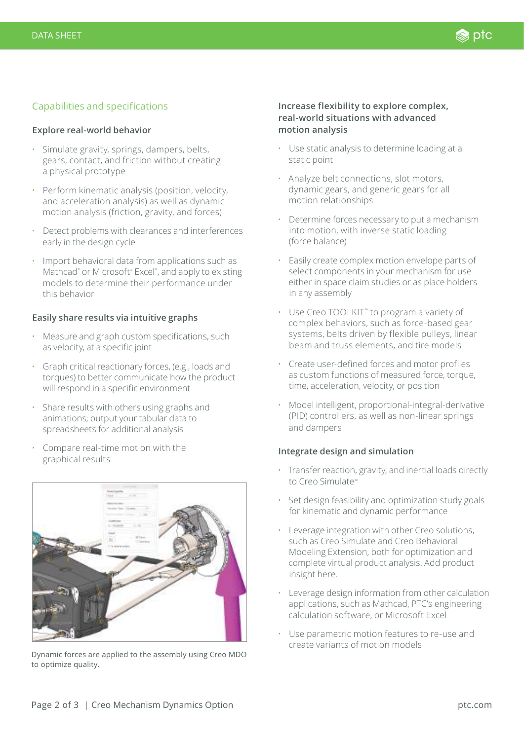# Capabilities and specifications

#### **Explore real-world behavior**

- Simulate gravity, springs, dampers, belts, gears, contact, and friction without creating a physical prototype
- Perform kinematic analysis (position, velocity, and acceleration analysis) as well as dynamic motion analysis (friction, gravity, and forces)
- Detect problems with clearances and interferences early in the design cycle
- Import behavioral data from applications such as Mathcad<sup>®</sup> or Microsoft® Excel®, and apply to existing models to determine their performance under this behavior

#### **Easily share results via intuitive graphs**

- Measure and graph custom specifications, such as velocity, at a specific joint
- Graph critical reactionary forces, (e.g., loads and torques) to better communicate how the product will respond in a specific environment
- Share results with others using graphs and animations; output your tabular data to spreadsheets for additional analysis
- Compare real-time motion with the graphical results



Dynamic forces are applied to the assembly using Creo MDO to optimize quality.

### **Increase flexibility to explore complex, real-world situations with advanced motion analysis**

- Use static analysis to determine loading at a static point
- Analyze belt connections, slot motors, dynamic gears, and generic gears for all motion relationships
- Determine forces necessary to put a mechanism into motion, with inverse static loading (force balance)
- Easily create complex motion envelope parts of select components in your mechanism for use either in space claim studies or as place holders in any assembly
- Use Creo TOOLKIT™ to program a variety of complex behaviors, such as force-based gear systems, belts driven by flexible pulleys, linear beam and truss elements, and tire models
- Create user-defined forces and motor profiles as custom functions of measured force, torque, time, acceleration, velocity, or position
- Model intelligent, proportional-integral-derivative (PID) controllers, as well as non-linear springs and dampers

#### **Integrate design and simulation**

- Transfer reaction, gravity, and inertial loads directly to Creo Simulate™
- Set design feasibility and optimization study goals for kinematic and dynamic performance
- Leverage integration with other Creo solutions, such as Creo Simulate and Creo Behavioral Modeling Extension, both for optimization and complete virtual product analysis. Add product insight here.
- Leverage design information from other calculation applications, such as Mathcad, PTC's engineering calculation software, or Microsoft Excel
- Use parametric motion features to re-use and create variants of motion models